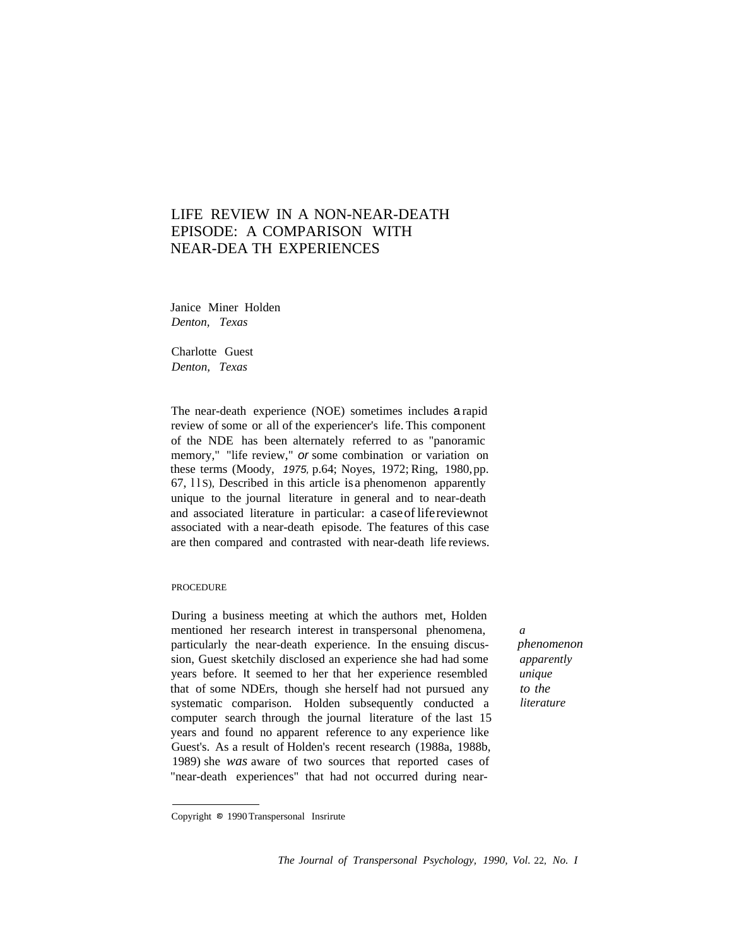# LIFE REVIEW IN A NON-NEAR-DEATH EPISODE: A COMPARISON WITH NEAR-DEA TH EXPERIENCES

Janice Miner Holden *Denton, Texas*

Charlotte Guest *Denton, Texas*

The near-death experience (NOE) sometimes includes a rapid review of some or all of the experiencer's life. This component of the NDE has been alternately referred to as "panoramic memory," "life review," or some combination or variation on these terms (Moody, 1975, p.64; Noyes, 1972; Ring, 1980,pp.  $67$ ,  $11$ S), Described in this article is a phenomenon apparently unique to the journal literature in general and to near-death and associated literature in particular: a caseof lifereviewnot associated with a near-death episode. The features of this case are then compared and contrasted with near-death life reviews.

### PROCEDURE

During a business meeting at which the authors met, Holden mentioned her research interest in transpersonal phenomena, particularly the near-death experience. In the ensuing discussion, Guest sketchily disclosed an experience she had had some years before. It seemed to her that her experience resembled that of some NDErs, though she herself had not pursued any systematic comparison. Holden subsequently conducted a computer search through the journal literature of the last 15 years and found no apparent reference to any experience like Guest's. As a result of Holden's recent research (1988a, 1988b, 1989) she *was* aware of two sources that reported cases of "near-death experiences" that had not occurred during near-

*a phenomenon apparently unique to the literature*

Copyright @ 1990 Transpersonal Insrirute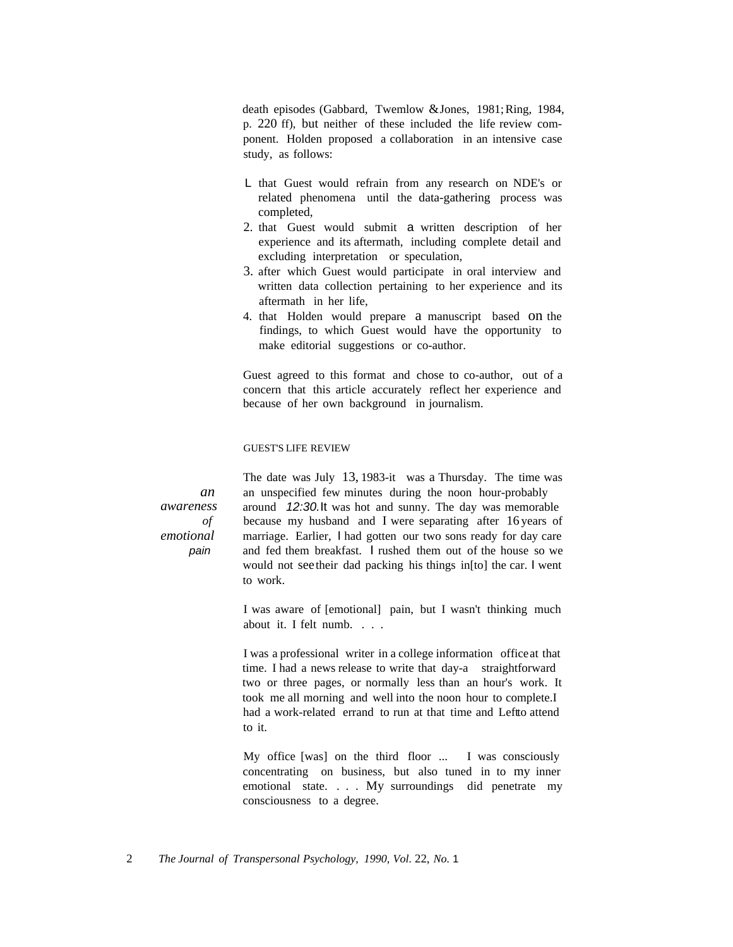death episodes (Gabbard, Twemlow &Jones, 1981; Ring, 1984, p. 220 ff), but neither of these included the life review component. Holden proposed a collaboration in an intensive case study, as follows:

- L that Guest would refrain from any research on NDE's or related phenomena until the data-gathering process was completed,
- 2. that Guest would submit a written description of her experience and its aftermath, including complete detail and excluding interpretation or speculation,
- 3. after which Guest would participate in oral interview and written data collection pertaining to her experience and its aftermath in her life,
- 4. that Holden would prepare a manuscript based on the findings, to which Guest would have the opportunity to make editorial suggestions or co-author.

Guest agreed to this format and chose to co-author, out of a concern that this article accurately reflect her experience and because of her own background in journalism.

# GUEST'S LIFE REVIEW

*an awareness of emotional* pain

The date was July 13, 1983-it was a Thursday. The time was an unspecified few minutes during the noon hour-probably around 12:30.It was hot and sunny. The day was memorable because my husband and I were separating after 16 years of marriage. Earlier, I had gotten our two sons ready for day care and fed them breakfast. I rushed them out of the house so we would not seetheir dad packing his things in[to] the car. I went to work.

I was aware of [emotional] pain, but I wasn't thinking much about it. I felt numb. . . .

I was a professional writer in a college information officeat that time. I had a news release to write that day-a straightforward two or three pages, or normally less than an hour's work. It took me all morning and well into the noon hour to complete.I had a work-related errand to run at that time and Leftto attend to it.

My office [was] on the third floor ... I was consciously concentrating on business, but also tuned in to my inner emotional state. . . . My surroundings did penetrate my consciousness to a degree.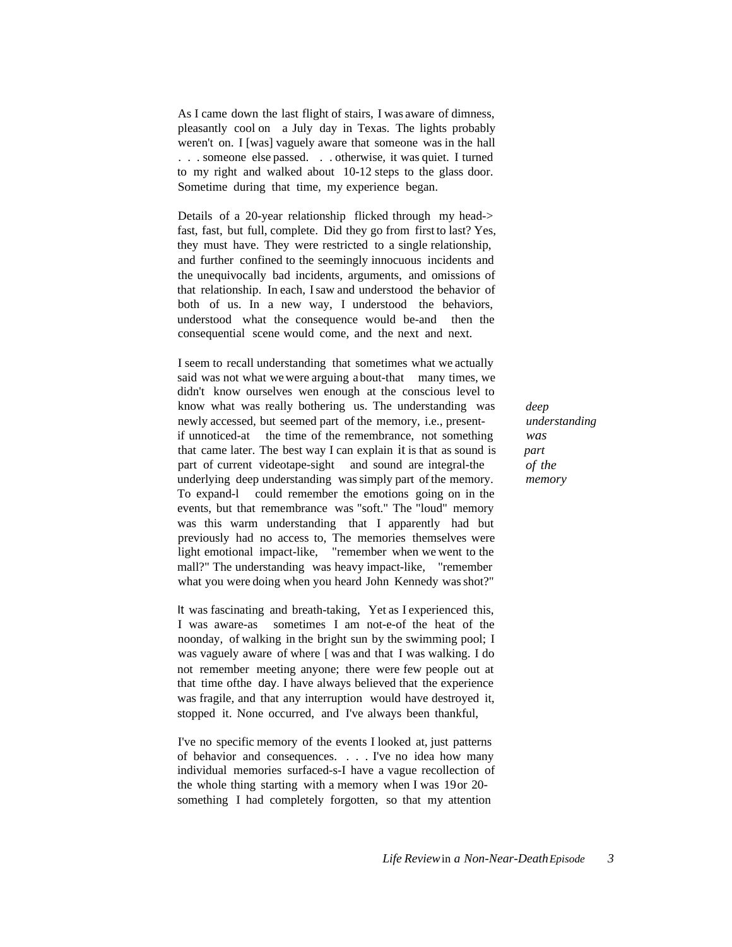As I came down the last flight of stairs, I was aware of dimness, pleasantly cool on a July day in Texas. The lights probably weren't on. I [was] vaguely aware that someone was in the hall . . . someone else passed. . . otherwise, it was quiet. I turned to my right and walked about 10-12 steps to the glass door. Sometime during that time, my experience began.

Details of a 20-year relationship flicked through my head-> fast, fast, but full, complete. Did they go from first to last? Yes, they must have. They were restricted to a single relationship, and further confined to the seemingly innocuous incidents and the unequivocally bad incidents, arguments, and omissions of that relationship. In each, I saw and understood the behavior of both of us. In a new way, I understood the behaviors, understood what the consequence would be-and then the consequential scene would come, and the next and next.

I seem to recall understanding that sometimes what we actually said was not what we were arguing about-that many times, we didn't know ourselves wen enough at the conscious level to know what was really bothering us. The understanding was newly accessed, but seemed part of the memory, i.e., presentif unnoticed-at the time of the remembrance, not something that came later. The best way I can explain it is that as sound is part of current videotape-sight and sound are integral-the underlying deep understanding was simply part of the memory. To expand-l could remember the emotions going on in the events, but that remembrance was "soft." The "loud" memory was this warm understanding that I apparently had but previously had no access to, The memories themselves were light emotional impact-like, "remember when we went to the mall?" The understanding was heavy impact-like, "remember what you were doing when you heard John Kennedy was shot?"

It was fascinating and breath-taking, Yet as I experienced this, I was aware-as sometimes I am not-e-of the heat of the noonday, of walking in the bright sun by the swimming pool; I was vaguely aware of where [ was and that I was walking. I do not remember meeting anyone; there were few people out at that time ofthe day. I have always believed that the experience was fragile, and that any interruption would have destroyed it, stopped it. None occurred, and I've always been thankful,

I've no specific memory of the events I looked at, just patterns of behavior and consequences. . . . I've no idea how many individual memories surfaced-s-I have a vague recollection of the whole thing starting with a memory when I was 19or 20 something I had completely forgotten, so that my attention

*deep understanding was part of the memory*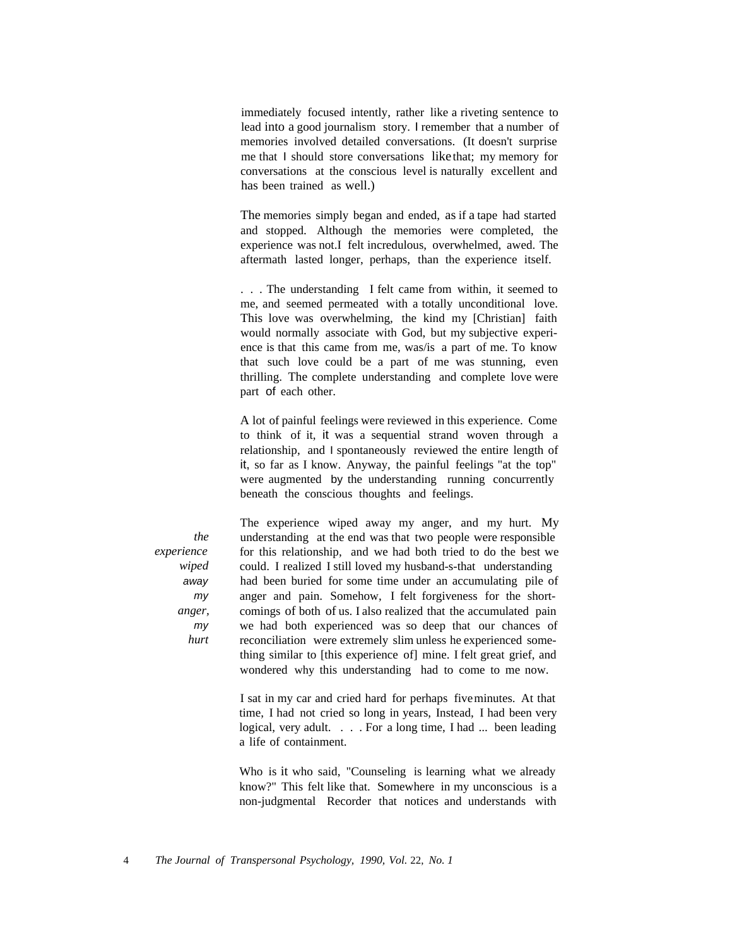immediately focused intently, rather like a riveting sentence to lead into a good journalism story. I remember that a number of memories involved detailed conversations. (It doesn't surprise me that I should store conversations like that; my memory for conversations at the conscious level is naturally excellent and has been trained as well.)

The memories simply began and ended, as if a tape had started and stopped. Although the memories were completed, the experience was not.I felt incredulous, overwhelmed, awed. The aftermath lasted longer, perhaps, than the experience itself.

. . . The understanding I felt came from within, it seemed to me, and seemed permeated with a totally unconditional love. This love was overwhelming, the kind my [Christian] faith would normally associate with God, but my subjective experience is that this came from me, was/is a part of me. To know that such love could be a part of me was stunning, even thrilling. The complete understanding and complete love were part of each other.

A lot of painful feelings were reviewed in this experience. Come to think of it, it was a sequential strand woven through a relationship, and I spontaneously reviewed the entire length of it, so far as I know. Anyway, the painful feelings "at the top" were augmented by the understanding running concurrently beneath the conscious thoughts and feelings.

*the experience wiped* away my *anger,* my *hurt*

The experience wiped away my anger, and my hurt. My understanding at the end was that two people were responsible for this relationship, and we had both tried to do the best we could. I realized I still loved my husband-s-that understanding had been buried for some time under an accumulating pile of anger and pain. Somehow, I felt forgiveness for the shortcomings of both of us. I also realized that the accumulated pain we had both experienced was so deep that our chances of reconciliation were extremely slim unless he experienced something similar to [this experience of] mine. I felt great grief, and wondered why this understanding had to come to me now.

I sat in my car and cried hard for perhaps fiveminutes. At that time, I had not cried so long in years, Instead, I had been very logical, very adult. . . . For a long time, I had ... been leading a life of containment.

Who is it who said, "Counseling is learning what we already know?" This felt like that. Somewhere in my unconscious is a non-judgmental Recorder that notices and understands with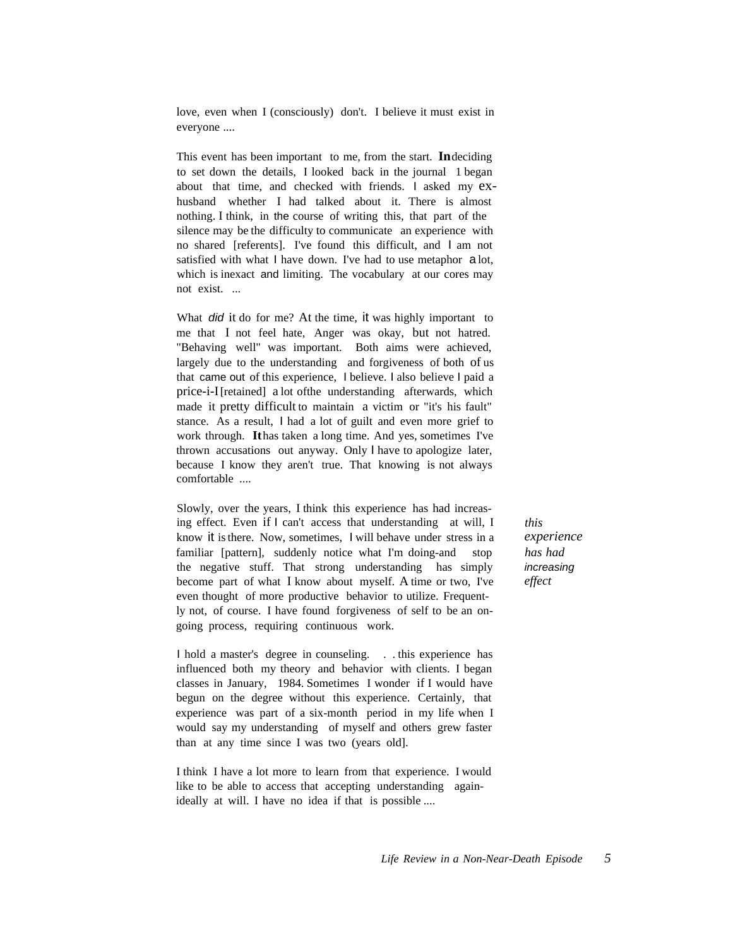love, even when I (consciously) don't. I believe it must exist in everyone ....

This event has been important to me, from the start. **In**deciding to set down the details, I looked back in the journal 1 began about that time, and checked with friends. I asked my exhusband whether I had talked about it. There is almost nothing. I think, in the course of writing this, that part of the silence may be the difficulty to communicate an experience with no shared [referents]. I've found this difficult, and I am not satisfied with what I have down. I've had to use metaphor a lot, which is inexact and limiting. The vocabulary at our cores may not exist. ...

What *did* it do for me? At the time, it was highly important to me that I not feel hate, Anger was okay, but not hatred. "Behaving well" was important. Both aims were achieved, largely due to the understanding and forgiveness of both of us that came out of this experience, I believe. I also believe I paid a price-i-I[retained] a lot ofthe understanding afterwards, which made it pretty difficult to maintain a victim or "it's his fault" stance. As a result, I had a lot of guilt and even more grief to work through. **It**has taken a long time. And yes, sometimes I've thrown accusations out anyway. Only I have to apologize later, because I know they aren't true. That knowing is not always comfortable ....

Slowly, over the years, I think this experience has had increasing effect. Even if I can't access that understanding at will, I know it is there. Now, sometimes, I will behave under stress in a familiar [pattern], suddenly notice what I'm doing-and stop the negative stuff. That strong understanding has simply become part of what I know about myself. A time or two, I've even thought of more productive behavior to utilize. Frequently not, of course. I have found forgiveness of self to be an ongoing process, requiring continuous work.

I hold a master's degree in counseling. . . this experience has influenced both my theory and behavior with clients. I began classes in January, 1984. Sometimes I wonder if I would have begun on the degree without this experience. Certainly, that experience was part of a six-month period in my life when I would say my understanding of myself and others grew faster than at any time since I was two (years old].

I think I have a lot more to learn from that experience. I would like to be able to access that accepting understanding againideally at will. I have no idea if that is possible ....

*this experience has had* increasing *effect*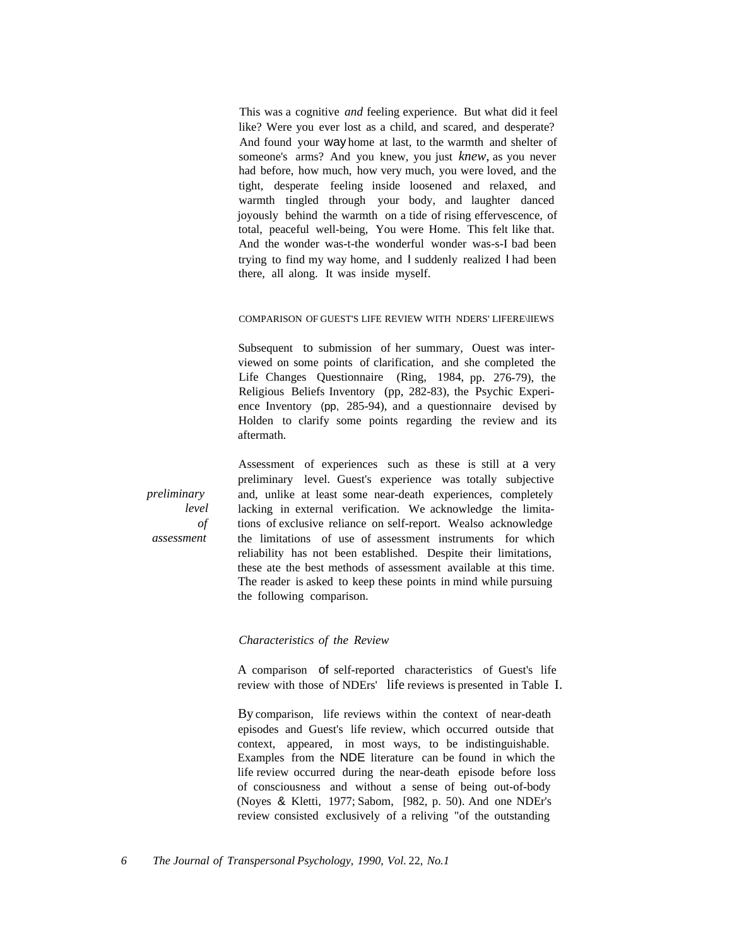This was a cognitive *and* feeling experience. But what did it feel like? Were you ever lost as a child, and scared, and desperate? And found your way home at last, to the warmth and shelter of someone's arms? And you knew, you just *knew,* as you never had before, how much, how very much, you were loved, and the tight, desperate feeling inside loosened and relaxed, and warmth tingled through your body, and laughter danced joyously behind the warmth on a tide of rising effervescence, of total, peaceful well-being, You were Home. This felt like that. And the wonder was-t-the wonderful wonder was-s-I bad been trying to find my way home, and I suddenly realized I had been there, all along. It was inside myself.

#### COMPARISON OF GUEST'S LIFE REVIEW WITH NDERS' LIFERE\lIEWS

Subsequent to submission of her summary, Ouest was interviewed on some points of clarification, and she completed the Life Changes Questionnaire (Ring, 1984, pp. 276-79), the Religious Beliefs Inventory (pp, 282-83), the Psychic Experience Inventory (pp, 285-94), and a questionnaire devised by Holden to clarify some points regarding the review and its aftermath.

Assessment of experiences such as these is still at a very preliminary level. Guest's experience was totally subjective and, unlike at least some near-death experiences, completely lacking in external verification. We acknowledge the limitations of exclusive reliance on self-report. Wealso acknowledge the limitations of use of assessment instruments for which reliability has not been established. Despite their limitations, these ate the best methods of assessment available at this time. The reader is asked to keep these points in mind while pursuing the following comparison.

# *Characteristics of the Review*

A comparison of self-reported characteristics of Guest's life review with those of NDErs' life reviews is presented in Table I.

By comparison, life reviews within the context of near-death episodes and Guest's life review, which occurred outside that context, appeared, in most ways, to be indistinguishable. Examples from the NDE literature can be found in which the life review occurred during the near-death episode before loss of consciousness and without a sense of being out-of-body (Noyes & Kletti, 1977; Sabom, [982, p. 50). And one NDEr's review consisted exclusively of a reliving "of the outstanding

*6 The Journal of Transpersonal Psychology, 1990, Vol.* 22, *No.1*

*preliminary level of assessment*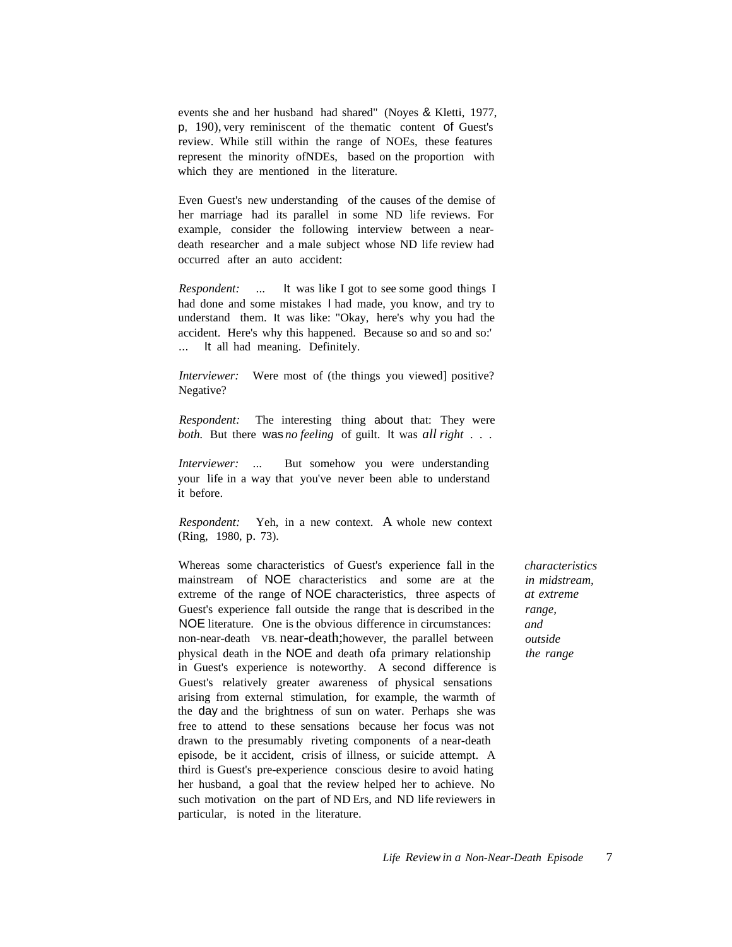events she and her husband had shared" (Noyes & Kletti, 1977, p, 190), very reminiscent of the thematic content of Guest's review. While still within the range of NOEs, these features represent the minority ofNDEs, based on the proportion with which they are mentioned in the literature.

Even Guest's new understanding of the causes of the demise of her marriage had its parallel in some ND life reviews. For example, consider the following interview between a neardeath researcher and a male subject whose ND life review had occurred after an auto accident:

*Respondent:* ... It was like I got to see some good things I had done and some mistakes I had made, you know, and try to understand them. It was like: "Okay, here's why you had the accident. Here's why this happened. Because so and so and so:' ... It all had meaning. Definitely.

*Interviewer:* Were most of (the things you viewed) positive? Negative?

*Respondent:* The interesting thing about that: They were *both.* But there was *no feeling* of guilt. It was *all right* . . .

*Interviewer:* ... But somehow you were understanding your life in a way that you've never been able to understand it before.

*Respondent:* Yeh, in a new context. A whole new context (Ring, 1980, p. 73).

Whereas some characteristics of Guest's experience fall in the mainstream of NOE characteristics and some are at the extreme of the range of NOE characteristics, three aspects of Guest's experience fall outside the range that is described in the NOE literature. One is the obvious difference in circumstances: non-near-death VB. near-death;however, the parallel between physical death in the NOE and death ofa primary relationship in Guest's experience is noteworthy. A second difference is Guest's relatively greater awareness of physical sensations arising from external stimulation, for example, the warmth of the day and the brightness of sun on water. Perhaps she was free to attend to these sensations because her focus was not drawn to the presumably riveting components of a near-death episode, be it accident, crisis of illness, or suicide attempt. A third is Guest's pre-experience conscious desire to avoid hating her husband, a goal that the review helped her to achieve. No such motivation on the part of ND Ers, and ND life reviewers in particular, is noted in the literature.

*characteristics in midstream, at extreme range, and outside the range*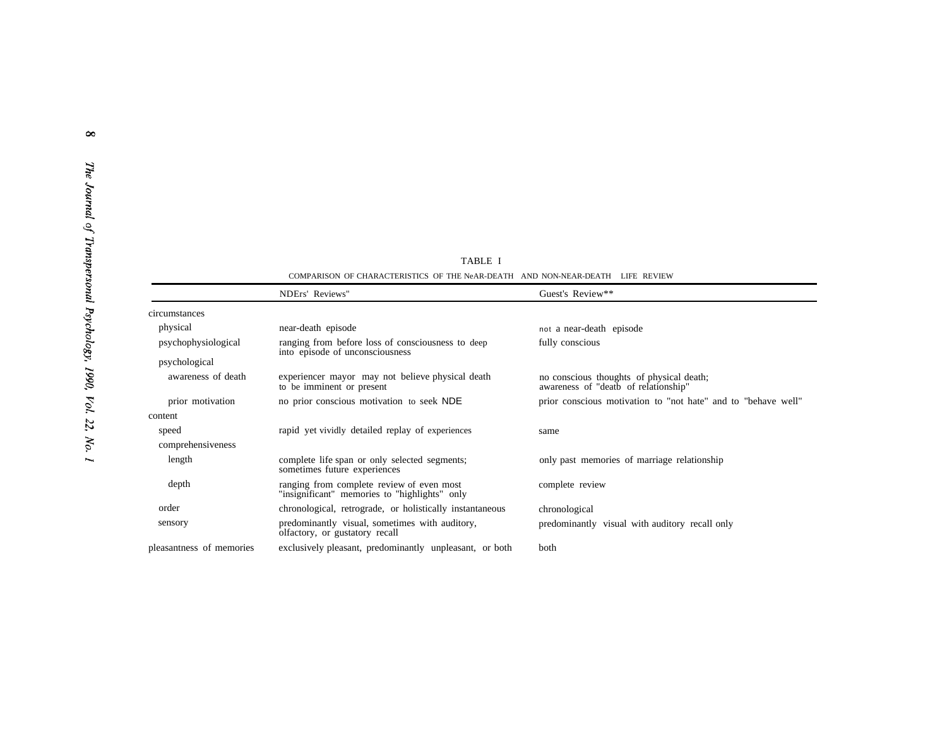TABLE I COMPARISON OF CHARACTERISTICS OF THE NeAR-DEATH AND NON-NEAR-DEATH LIFE REVIEW

|                          | NDErs' Reviews"                                                                            | Guest's Review**                                                                 |
|--------------------------|--------------------------------------------------------------------------------------------|----------------------------------------------------------------------------------|
| circumstances            |                                                                                            |                                                                                  |
| physical                 | near-death episode                                                                         | not a near-death episode                                                         |
| psychophysiological      | ranging from before loss of consciousness to deep<br>into episode of unconsciousness       | fully conscious                                                                  |
| psychological            |                                                                                            |                                                                                  |
| awareness of death       | experiencer mayor may not believe physical death<br>to be imminent or present              | no conscious thoughts of physical death;<br>awareness of "deatb of relationship" |
| prior motivation         | no prior conscious motivation to seek NDE                                                  | prior conscious motivation to "not hate" and to "behave well"                    |
| content                  |                                                                                            |                                                                                  |
| speed                    | rapid yet vividly detailed replay of experiences                                           | same                                                                             |
| comprehensiveness        |                                                                                            |                                                                                  |
| length                   | complete life span or only selected segments;<br>sometimes future experiences              | only past memories of marriage relationship                                      |
| depth                    | ranging from complete review of even most<br>"insignificant" memories to "highlights" only | complete review                                                                  |
| order                    | chronological, retrograde, or holistically instantaneous                                   | chronological                                                                    |
| sensory                  | predominantly visual, sometimes with auditory,<br>olfactory, or gustatory recall           | predominantly visual with auditory recall only                                   |
| pleasantness of memories | exclusively pleasant, predominantly unpleasant, or both                                    | both                                                                             |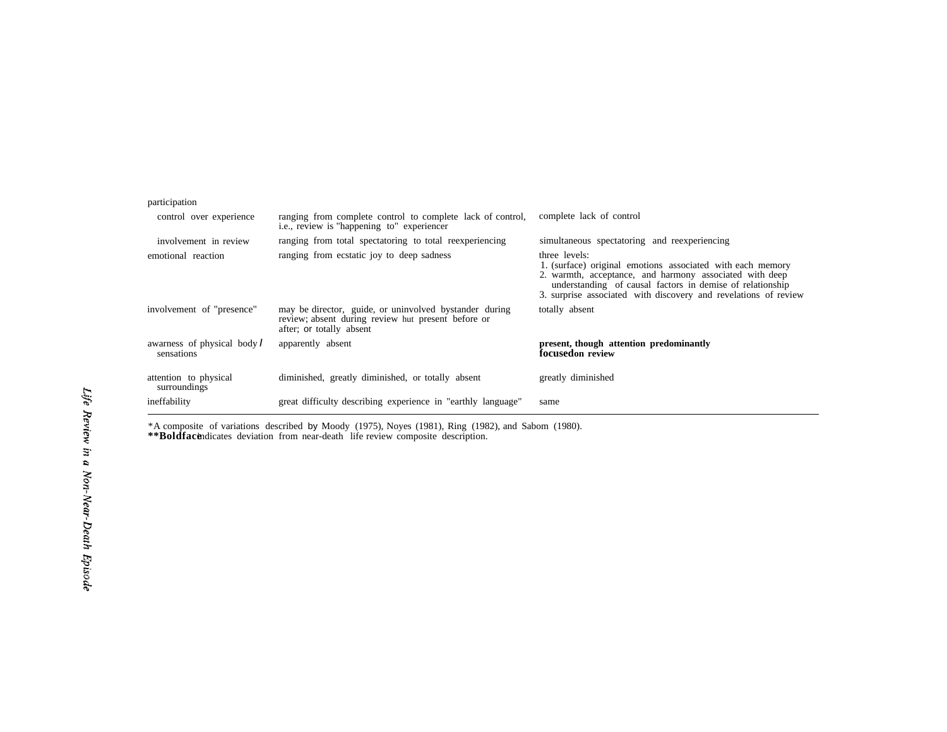| participation                             |                                                                                                                                          |                                                                                                                                                                                                                                                                        |
|-------------------------------------------|------------------------------------------------------------------------------------------------------------------------------------------|------------------------------------------------------------------------------------------------------------------------------------------------------------------------------------------------------------------------------------------------------------------------|
| control over experience                   | ranging from complete control to complete lack of control,<br>i.e., review is "happening to" experiencer                                 | complete lack of control                                                                                                                                                                                                                                               |
| involvement in review                     | ranging from total spectatoring to total reexperiencing                                                                                  | simultaneous spectatoring and reexperiencing                                                                                                                                                                                                                           |
| emotional reaction                        | ranging from ecstatic joy to deep sadness                                                                                                | three levels:<br>1. (surface) original emotions associated with each memory<br>2. warmth, acceptance, and harmony associated with deep<br>understanding of causal factors in demise of relationship<br>3. surprise associated with discovery and revelations of review |
| involvement of "presence"                 | may be director, guide, or uninvolved bystander during<br>review; absent during review hut present before or<br>after; or totally absent | totally absent                                                                                                                                                                                                                                                         |
| awarness of physical body I<br>sensations | apparently absent                                                                                                                        | present, though attention predominantly<br>focusedon review                                                                                                                                                                                                            |
| attention to physical<br>surroundings     | diminished, greatly diminished, or totally absent                                                                                        | greatly diminished                                                                                                                                                                                                                                                     |
| ineffability                              | great difficulty describing experience in "earthly language"                                                                             | same                                                                                                                                                                                                                                                                   |

\*A composite of variations described by Moody (1975), Noyes (1981), Ring (1982), and Sabom (1980). **\*\*Boldface**indicates deviation from near-death life review composite description.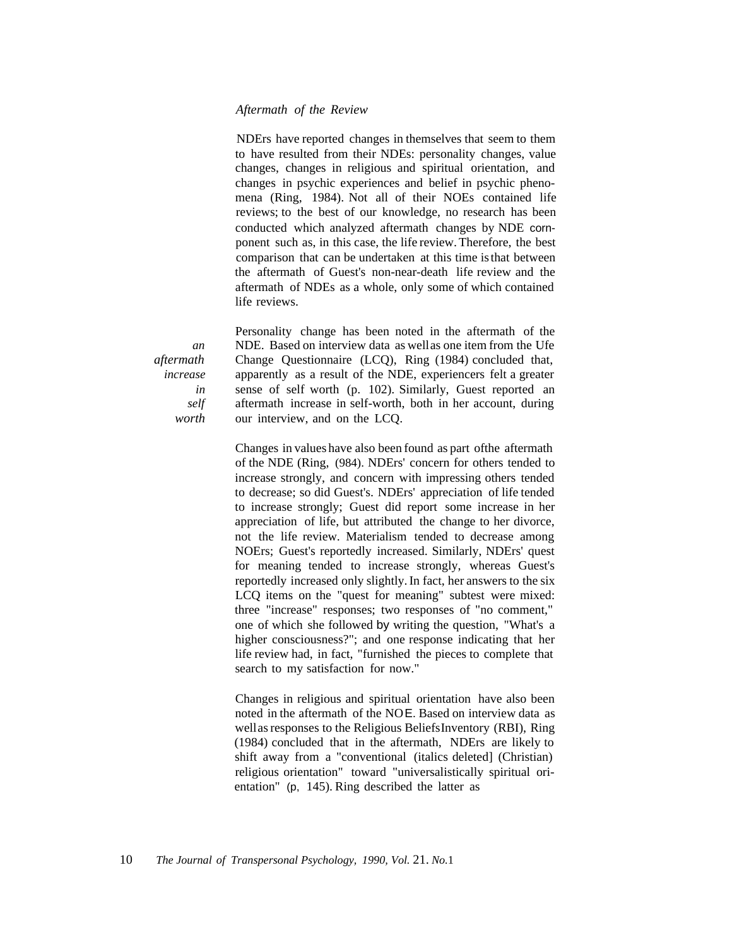# *Aftermath of the Review*

NDErs have reported changes in themselves that seem to them to have resulted from their NDEs: personality changes, value changes, changes in religious and spiritual orientation, and changes in psychic experiences and belief in psychic phenomena (Ring, 1984). Not all of their NOEs contained life reviews; to the best of our knowledge, no research has been conducted which analyzed aftermath changes by NDE cornponent such as, in this case, the life review. Therefore, the best comparison that can be undertaken at this time is that between the aftermath of Guest's non-near-death life review and the aftermath of NDEs as a whole, only some of which contained life reviews.

Personality change has been noted in the aftermath of the NDE. Based on interview data as wellas one item from the Ufe Change Questionnaire (LCQ), Ring (1984) concluded that, apparently as a result of the NDE, experiencers felt a greater sense of self worth (p. 102). Similarly, Guest reported an aftermath increase in self-worth, both in her account, during our interview, and on the LCQ.

Changes in values have also been found as part ofthe aftermath of the NDE (Ring, (984). NDErs' concern for others tended to increase strongly, and concern with impressing others tended to decrease; so did Guest's. NDErs' appreciation of life tended to increase strongly; Guest did report some increase in her appreciation of life, but attributed the change to her divorce, not the life review. Materialism tended to decrease among NOErs; Guest's reportedly increased. Similarly, NDErs' quest for meaning tended to increase strongly, whereas Guest's reportedly increased only slightly. In fact, her answers to the six LCQ items on the "quest for meaning" subtest were mixed: three "increase" responses; two responses of "no comment," one of which she followed by writing the question, "What's a higher consciousness?"; and one response indicating that her life review had, in fact, "furnished the pieces to complete that search to my satisfaction for now."

Changes in religious and spiritual orientation have also been noted in the aftermath of the NOE. Based on interview data as wellas responses to the Religious BeliefsInventory (RBI), Ring (1984) concluded that in the aftermath, NDErs are likely to shift away from a "conventional (italics deleted] (Christian) religious orientation" toward "universalistically spiritual orientation" (p, 145). Ring described the latter as

*an aftermath increase in self worth*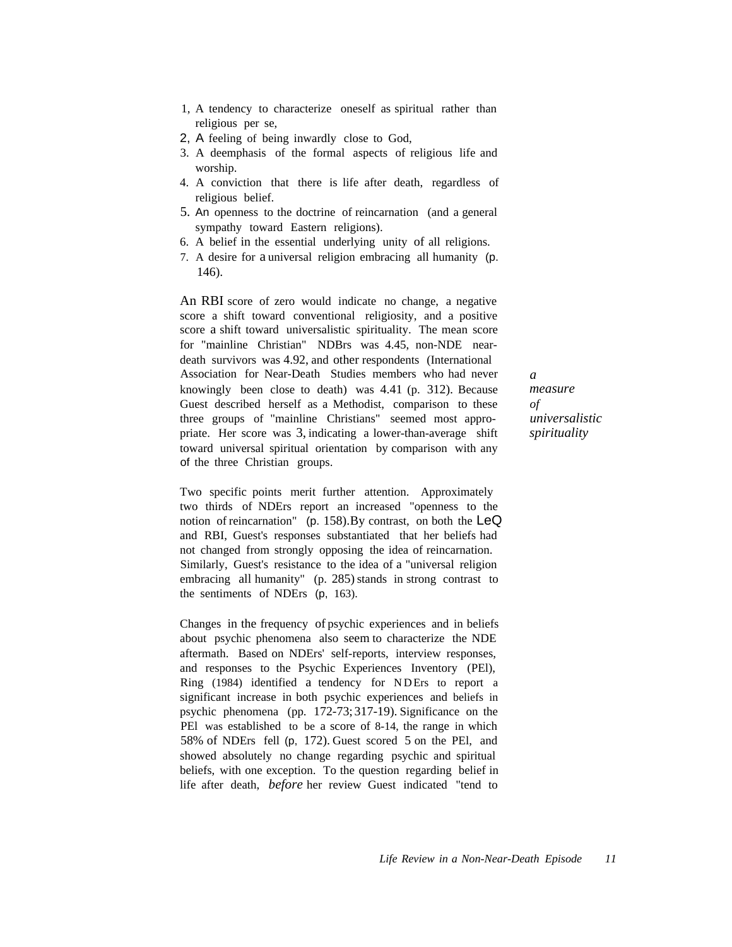- 1, A tendency to characterize oneself as spiritual rather than religious per se,
- 2, A feeling of being inwardly close to God,
- 3. A deemphasis of the formal aspects of religious life and worship.
- 4. A conviction that there is life after death, regardless of religious belief.
- 5. An openness to the doctrine of reincarnation (and a general sympathy toward Eastern religions).
- 6. A belief in the essential underlying unity of all religions.
- 7. A desire for a universal religion embracing all humanity (p. 146).

An RBI score of zero would indicate no change, a negative score a shift toward conventional religiosity, and a positive score a shift toward universalistic spirituality. The mean score for "mainline Christian" NDBrs was 4.45, non-NDE neardeath survivors was 4.92, and other respondents (International Association for Near-Death Studies members who had never knowingly been close to death) was 4.41 (p. 312). Because Guest described herself as a Methodist, comparison to these three groups of "mainline Christians" seemed most appropriate. Her score was 3, indicating a lower-than-average shift toward universal spiritual orientation by comparison with any of the three Christian groups.

Two specific points merit further attention. Approximately two thirds of NDErs report an increased "openness to the notion of reincarnation" (p. 158).By contrast, on both the LeQ and RBI, Guest's responses substantiated that her beliefs had not changed from strongly opposing the idea of reincarnation. Similarly, Guest's resistance to the idea of a "universal religion embracing all humanity"  $(p. 285)$  stands in strong contrast to the sentiments of NDErs (p, 163).

Changes in the frequency of psychic experiences and in beliefs about psychic phenomena also seem to characterize the NDE aftermath. Based on NDErs' self-reports, interview responses, and responses to the Psychic Experiences Inventory (PEl), Ring (1984) identified a tendency for NDErs to report a significant increase in both psychic experiences and beliefs in psychic phenomena (pp. 172-73; 317-19). Significance on the PEl was established to be a score of 8-14, the range in which 58% of NDErs fell (p, 172). Guest scored 5 on the PEl, and showed absolutely no change regarding psychic and spiritual beliefs, with one exception. To the question regarding belief in life after death, *before* her review Guest indicated "tend to *a measure of universalistic spirituality*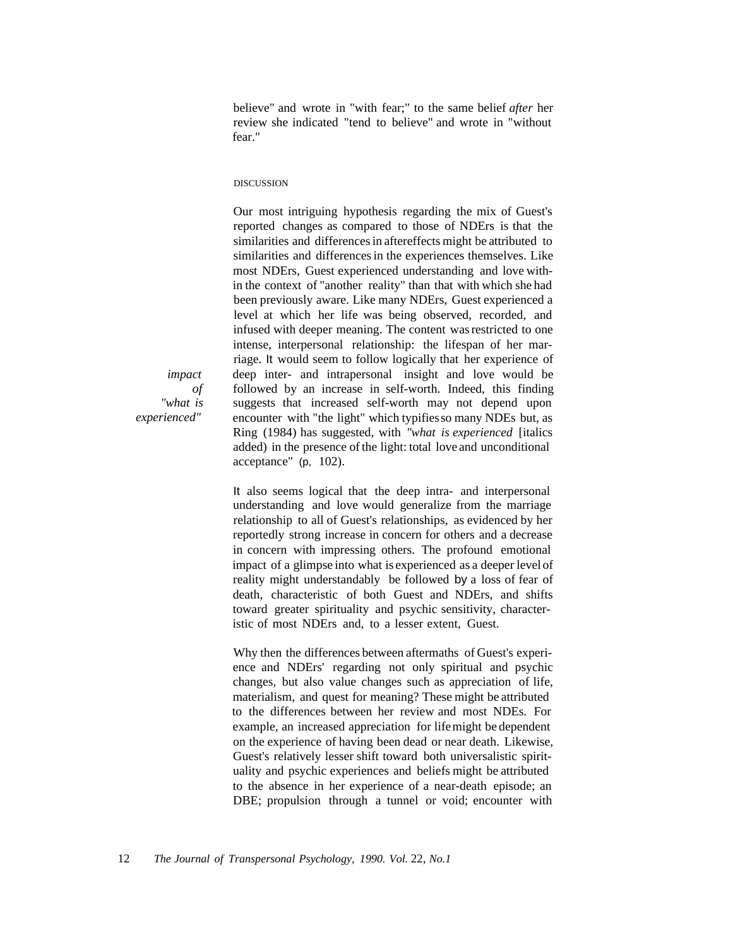believe" and wrote in "with fear;" to the same belief *after* her review she indicated "tend to believe" and wrote in "without fear."

#### DISCUSSION

Our most intriguing hypothesis regarding the mix of Guest's reported changes as compared to those of NDErs is that the similarities and differences in aftereffects might be attributed to similarities and differences in the experiences themselves. Like most NDErs, Guest experienced understanding and love within the context of "another reality" than that with which she had been previously aware. Like many NDErs, Guest experienced a level at which her life was being observed, recorded, and infused with deeper meaning. The content was restricted to one intense, interpersonal relationship: the lifespan of her marriage. It would seem to follow logically that her experience of deep inter- and intrapersonal insight and love would be followed by an increase in self-worth. Indeed, this finding suggests that increased self-worth may not depend upon encounter with "the light" which typifiesso many NDEs but, as Ring (1984) has suggested, with *"what is experienced* [italics added) in the presence of the light: total love and unconditional acceptance" (p, 102).

It also seems logical that the deep intra- and interpersonal understanding and love would generalize from the marriage relationship to all of Guest's relationships, as evidenced by her reportedly strong increase in concern for others and a decrease in concern with impressing others. The profound emotional impact of a glimpse into what is experienced as a deeper level of reality might understandably be followed by a loss of fear of death, characteristic of both Guest and NDErs, and shifts toward greater spirituality and psychic sensitivity, characteristic of most NDErs and, to a lesser extent, Guest.

Why then the differences between aftermaths of Guest's experience and NDErs' regarding not only spiritual and psychic changes, but also value changes such as appreciation of life, materialism, and quest for meaning? These might be attributed to the differences between her review and most NDEs. For example, an increased appreciation for lifemight be dependent on the experience of having been dead or near death. Likewise, Guest's relatively lesser shift toward both universalistic spirituality and psychic experiences and beliefs might be attributed to the absence in her experience of a near-death episode; an DBE; propulsion through a tunnel or void; encounter with

*impact of "what is experienced"*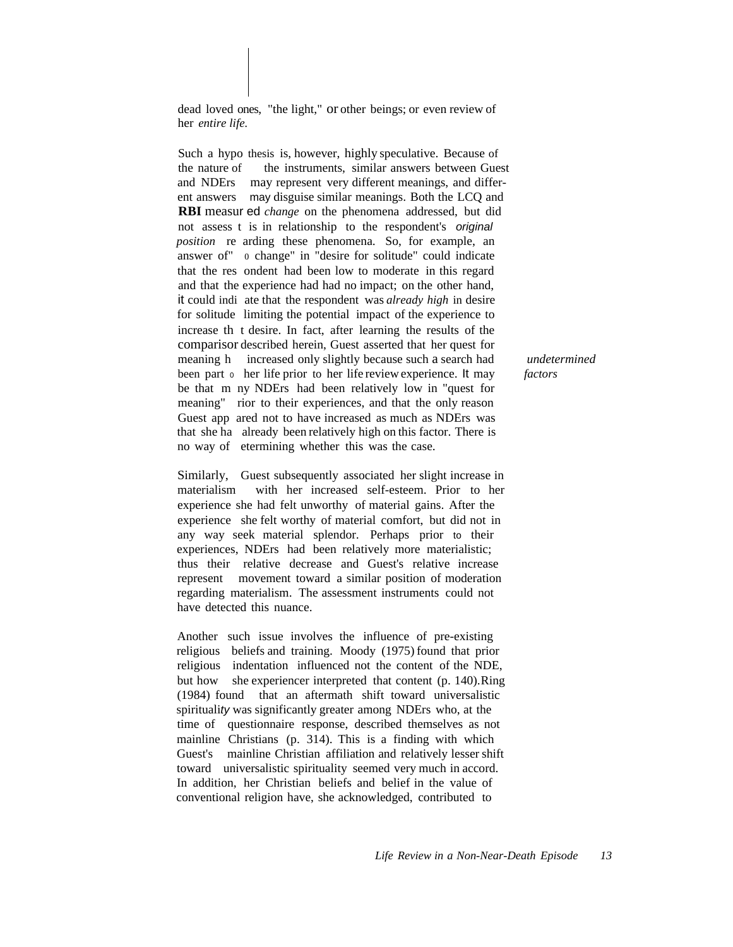dead loved ones, "the light," or other beings; or even review of her *entire life.*

Such a hypo thesis is, however, highly speculative. Because of the nature of the instruments, similar answers between Guest and NDErs may represent very different meanings, and different answers may disguise similar meanings. Both the LCQ and **RBI** measur ed *change* on the phenomena addressed, but did not assess t is in relationship to the respondent's original *position* re arding these phenomena. So, for example, an answer of" 0 change" in "desire for solitude" could indicate that the res ondent had been low to moderate in this regard and that the experience had had no impact; on the other hand, it could indi ate that the respondent was *already high* in desire for solitude limiting the potential impact of the experience to increase th t desire. In fact, after learning the results of the comparisor described herein, Guest asserted that her quest for meaning h increased only slightly because such a search had been part  $\circ$  her life prior to her life review experience. It may be that m ny NDErs had been relatively low in "quest for meaning" rior to their experiences, and that the only reason Guest app ared not to have increased as much as NDErs was that she ha already been relatively high on this factor. There is no way of etermining whether this was the case.

Similarly, Guest subsequently associated her slight increase in materialism with her increased self-esteem. Prior to her experience she had felt unworthy of material gains. After the experience she felt worthy of material comfort, but did not in any way seek material splendor. Perhaps prior to their experiences, NDErs had been relatively more materialistic; thus their relative decrease and Guest's relative increase represent movement toward a similar position of moderation regarding materialism. The assessment instruments could not have detected this nuance.

Another such issue involves the influence of pre-existing religious beliefs and training. Moody (1975) found that prior religious indentation influenced not the content of the NDE, but how she experiencer interpreted that content (p. 140).Ring (1984) found that an aftermath shift toward universalistic spirituali*ty* was significantly greater among NDErs who, at the time of questionnaire response, described themselves as not mainline Christians (p. 314). This is a finding with which Guest's mainline Christian affiliation and relatively lesser shift toward universalistic spirituality seemed very much in accord. In addition, her Christian beliefs and belief in the value of conventional religion have, she acknowledged, contributed to

*undetermined factors*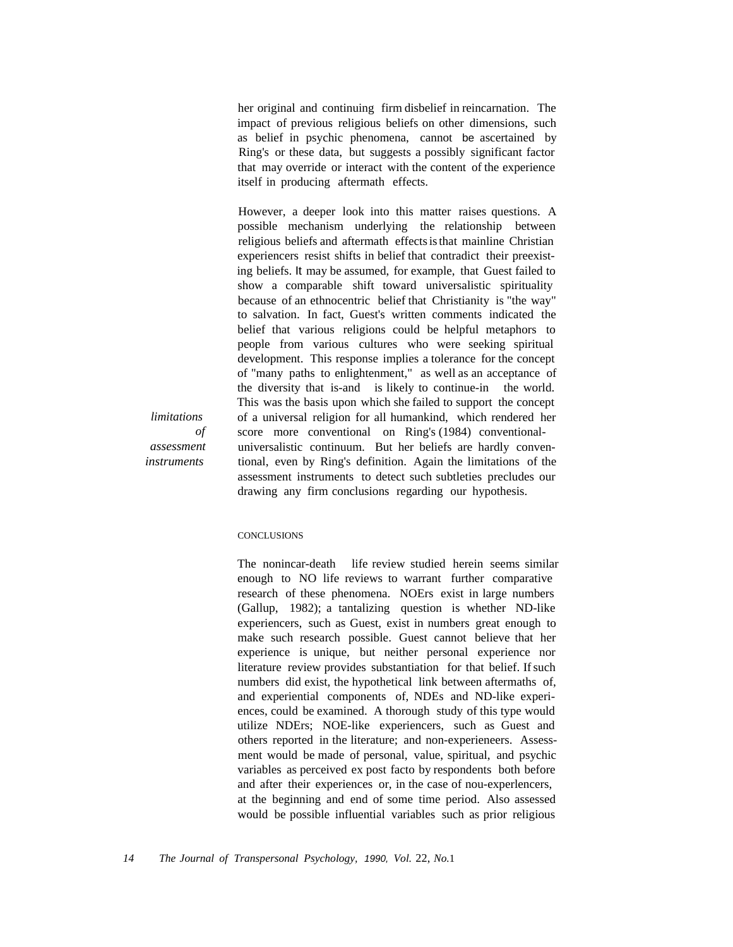her original and continuing firm disbelief in reincarnation. The impact of previous religious beliefs on other dimensions, such as belief in psychic phenomena, cannot be ascertained by Ring's or these data, but suggests a possibly significant factor that may override or interact with the content of the experience itself in producing aftermath effects.

However, a deeper look into this matter raises questions. A possible mechanism underlying the relationship between religious beliefs and aftermath effects is that mainline Christian experiencers resist shifts in belief that contradict their preexisting beliefs. It may be assumed, for example, that Guest failed to show a comparable shift toward universalistic spirituality because of an ethnocentric belief that Christianity is "the way" to salvation. In fact, Guest's written comments indicated the belief that various religions could be helpful metaphors to people from various cultures who were seeking spiritual development. This response implies a tolerance for the concept of "many paths to enlightenment," as well as an acceptance of the diversity that is-and is likely to continue-in the world. This was the basis upon which she failed to support the concept of a universal religion for all humankind, which rendered her score more conventional on Ring's (1984) conventionaluniversalistic continuum. But her beliefs are hardly conventional, even by Ring's definition. Again the limitations of the assessment instruments to detect such subtleties precludes our drawing any firm conclusions regarding our hypothesis.

**CONCLUSIONS** 

*limitations*

*assessment instruments*

*of*

The nonincar-death life review studied herein seems similar enough to NO life reviews to warrant further comparative research of these phenomena. NOErs exist in large numbers (Gallup, 1982); a tantalizing question is whether ND-like experiencers, such as Guest, exist in numbers great enough to make such research possible. Guest cannot believe that her experience is unique, but neither personal experience nor literature review provides substantiation for that belief. If such numbers did exist, the hypothetical link between aftermaths of, and experiential components of, NDEs and ND-like experiences, could be examined. A thorough study of this type would utilize NDErs; NOE-like experiencers, such as Guest and others reported in the literature; and non-experieneers. Assessment would be made of personal, value, spiritual, and psychic variables as perceived ex post facto by respondents both before and after their experiences or, in the case of nou-experlencers, at the beginning and end of some time period. Also assessed would be possible influential variables such as prior religious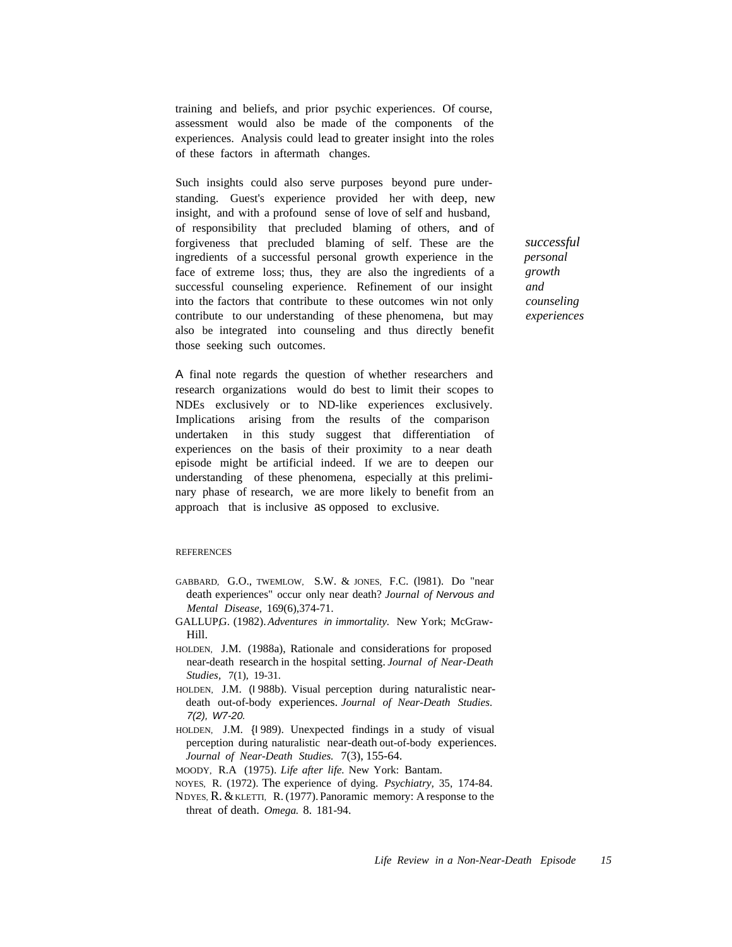training and beliefs, and prior psychic experiences. Of course, assessment would also be made of the components of the experiences. Analysis could lead to greater insight into the roles of these factors in aftermath changes.

Such insights could also serve purposes beyond pure understanding. Guest's experience provided her with deep, new insight, and with a profound sense of love of self and husband, of responsibility that precluded blaming of others, and of forgiveness that precluded blaming of self. These are the ingredients of a successful personal growth experience in the face of extreme loss; thus, they are also the ingredients of a successful counseling experience. Refinement of our insight into the factors that contribute to these outcomes win not only contribute to our understanding of these phenomena, but may also be integrated into counseling and thus directly benefit those seeking such outcomes.

A final note regards the question of whether researchers and research organizations would do best to limit their scopes to NDEs exclusively or to ND-like experiences exclusively. Implications arising from the results of the comparison undertaken in this study suggest that differentiation of experiences on the basis of their proximity to a near death episode might be artificial indeed. If we are to deepen our understanding of these phenomena, especially at this preliminary phase of research, we are more likely to benefit from an approach that is inclusive as opposed to exclusive.

#### **REFERENCES**

- GABBARD, G.O., TWEMLOW, S.W. & JONES, F.C. (1981). Do "near death experiences" occur only near death? *Journal of* Nervous *and Mental Disease,* 169(6),374-71.
- GALLUP,G. (1982).*Adventures* in *immortality.* New York; McGraw-Hill.
- HOLDEN, J.M. (1988a), Rationale and considerations for proposed near-death research in the hospital setting. *Journal of Near-Death Studies,* 7(1), 19-31.
- HOLDEN, J.M. (I 988b). Visual perception during naturalistic neardeath out-of-body experiences. *Journal of Near-Death Studies.* 7(2), W7-20.
- HOLDEN, J.M. {I 989). Unexpected findings in a study of visual perception during naturalistic near-death out-of-body experiences. *Journal of Near-Death Studies.* 7(3), 155-64.
- MOODY, R.A (1975). *Life after life.* New York: Bantam.
- NOYES, R. (1972). The experience of dying. *Psychiatry,* 35, 174-84.
- NDYES, R. &KLETTI, R. (1977). Panoramic memory: A response to the threat of death. *Omega.* 8. 181-94.

*successful personal growth and counseling experiences*